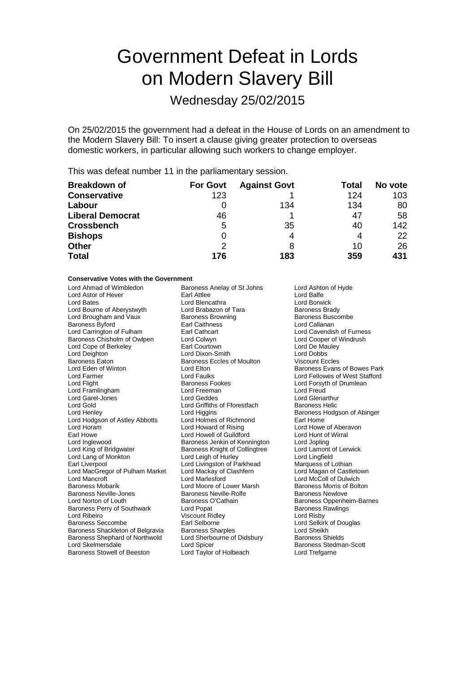# Government Defeat in Lords on Modern Slavery Bill

Wednesday 25/02/2015

On 25/02/2015 the government had a defeat in the House of Lords on an amendment to the Modern Slavery Bill: To insert a clause giving greater protection to overseas domestic workers, in particular allowing such workers to change employer.

This was defeat number 11 in the parliamentary session.

| <b>Breakdown of</b>     | <b>For Govt</b> | <b>Against Govt</b> | Total | No vote |
|-------------------------|-----------------|---------------------|-------|---------|
| <b>Conservative</b>     | 123             |                     | 124   | 103     |
| Labour                  |                 | 134                 | 134   | 80      |
| <b>Liberal Democrat</b> | 46              |                     | 47    | 58      |
| <b>Crossbench</b>       | 5               | 35                  | 40    | 142     |
| <b>Bishops</b>          | 0               | 4                   | 4     | 22      |
| <b>Other</b>            | 2               | 8                   | 10    | 26      |
| <b>Total</b>            | 176             | 183                 | 359   | 431     |

## **Conservative Votes with the Government**

| Lord Ahmad of Wimbledon            | Baroness Anelay of St Johns       | Lord Ashton of Hyde            |
|------------------------------------|-----------------------------------|--------------------------------|
| Lord Astor of Hever                | <b>Earl Attlee</b>                | Lord Balfe                     |
| Lord Bates                         | Lord Blencathra                   | Lord Borwick                   |
| Lord Bourne of Aberystwyth         | Lord Brabazon of Tara             | <b>Baroness Brady</b>          |
| Lord Brougham and Vaux             | <b>Baroness Browning</b>          | <b>Baroness Buscombe</b>       |
| <b>Baroness Byford</b>             | <b>Earl Caithness</b>             | Lord Callanan                  |
| Lord Carrington of Fulham          | Earl Cathcart                     | Lord Cavendish of Furness      |
| Baroness Chisholm of Owlpen        | Lord Colwyn                       | Lord Cooper of Windrush        |
| Lord Cope of Berkeley              | Earl Courtown                     | Lord De Mauley                 |
| Lord Deighton                      | Lord Dixon-Smith                  | <b>Lord Dobbs</b>              |
| <b>Baroness Eaton</b>              | <b>Baroness Eccles of Moulton</b> | <b>Viscount Eccles</b>         |
| Lord Eden of Winton                | Lord Elton                        | Baroness Evans of Bowes Park   |
| Lord Farmer                        | <b>Lord Faulks</b>                | Lord Fellowes of West Stafford |
| Lord Flight                        | <b>Baroness Fookes</b>            | Lord Forsyth of Drumlean       |
| Lord Framlingham                   | Lord Freeman                      | Lord Freud                     |
| Lord Garel-Jones                   | <b>Lord Geddes</b>                | Lord Glenarthur                |
| Lord Gold                          | Lord Griffiths of Fforestfach     | <b>Baroness Helic</b>          |
| Lord Henley                        | Lord Higgins                      | Baroness Hodgson of Abinger    |
| Lord Hodgson of Astley Abbotts     | Lord Holmes of Richmond           | Earl Home                      |
| Lord Horam                         | Lord Howard of Rising             | Lord Howe of Aberavon          |
| Earl Howe                          | Lord Howell of Guildford          | Lord Hunt of Wirral            |
| Lord Inglewood                     | Baroness Jenkin of Kennington     | Lord Jopling                   |
| Lord King of Bridgwater            | Baroness Knight of Collingtree    | Lord Lamont of Lerwick         |
| Lord Lang of Monkton               | Lord Leigh of Hurley              | Lord Lingfield                 |
| Earl Liverpool                     | Lord Livingston of Parkhead       | Marquess of Lothian            |
| Lord MacGregor of Pulham Market    | Lord Mackay of Clashfern          | Lord Magan of Castletown       |
| <b>Lord Mancroft</b>               | <b>Lord Marlesford</b>            | Lord McColl of Dulwich         |
| <b>Baroness Mobarik</b>            | Lord Moore of Lower Marsh         | Baroness Morris of Bolton      |
| <b>Baroness Neville-Jones</b>      | Baroness Neville-Rolfe            | <b>Baroness Newlove</b>        |
| Lord Norton of Louth               | Baroness O'Cathain                | Baroness Oppenheim-Barnes      |
| Baroness Perry of Southwark        | Lord Popat                        | <b>Baroness Rawlings</b>       |
| Lord Ribeiro                       | <b>Viscount Ridley</b>            | Lord Risby                     |
| Baroness Seccombe                  | Earl Selborne                     | Lord Selkirk of Douglas        |
| Baroness Shackleton of Belgravia   | <b>Baroness Sharples</b>          | Lord Sheikh                    |
| Baroness Shephard of Northwold     | Lord Sherbourne of Didsbury       | <b>Baroness Shields</b>        |
| Lord Skelmersdale                  | Lord Spicer                       | Baroness Stedman-Scott         |
| <b>Baroness Stowell of Beeston</b> | Lord Taylor of Holbeach           | Lord Trefgarne                 |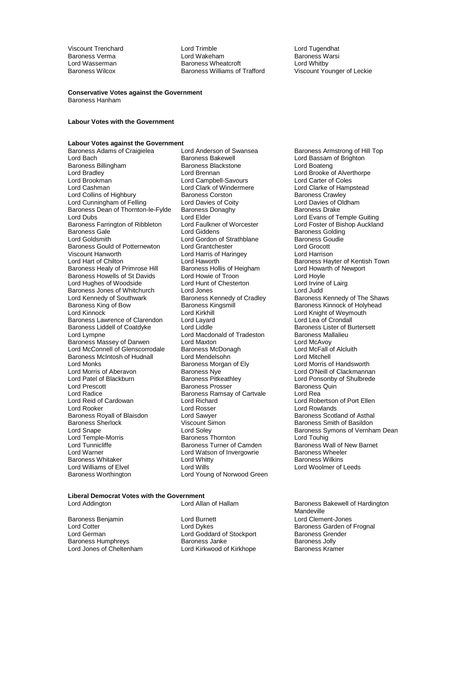Viscount Trenchard Lord Trimble Lord Tugendhat Baroness Verma Lord Wakeham Baroness Warsi Lord Wasserman **Baroness Wheatcroft**<br>
Baroness Williams of Trafford<br>
Baroness Williams of Trafford

Viscount Younger of Leckie

#### **Conservative Votes against the Government** Baroness Hanham

**Labour Votes with the Government**

# **Labour Votes against the Government**<br> **Baroness Adams of Craigielea**Lord Anderson of Swansea

Baroness Billingham Baroness Blackstone Baroness Blackstone Lord Brennan<br>Barone Lord Brennan Lord Bradley The Lord Brennan Lord Brennan Lord Brooke of Alverthorpe<br>
Lord Brookman Lord Campbell-Savours Lord Carter of Coles Lord Brookman Lord Campbell-Savours<br>
Lord Cashman Lord Clark of Windermere Lord Collins of Highbury **Baroness Corston** Baroness Corston Baroness Crawley<br>
Lord Cunningham of Felling **Baroness Corston Baroness Corston Baroness Crawley** Lord Cunningham of Felling Lord Davies of Coity<br>
Baroness Dean of Thornton-le-Fylde Baroness Donaghy Baroness Daroness Drake Baroness Dean of Thornton-le-Fylde<br>Lord Dubs Baroness Dean of Thornton-le-Fylde Baroness I Baroness Farrington of Ribbleton Lord Faulkner<br>Baroness Gale Corp Lord Giddens Baroness Gale The Lord Giddens Container Baroness Golding<br>
Lord Goldsmith Lord Gordon of Strathblane Baroness Goudie Baroness Gould of Potternewton Lord Grantchester **Lord Crocott**<br>
Lord Crocott Lord Harris of Haringey<br>
Lord Harrison Viscount Hanworth Lord Harris of Haringey<br>
Lord Harrison Lord Haworth Baroness Healy of Primrose Hill Baroness Hollis of Heigham Lord Howarth Cord Howarth Cord Howarth Baroness Hollis of Heigham Lord Hoyle Baroness Howells of St Davids Lord Howie of Troon<br>
Lord Hughes of Woodside Lord Hunt of Chesterton Lord Irvine of Lairg Lord Hughes of Woodside Lord Hunt of Chesterton Lord Irvine<br>Baroness Jones of Whitchurch Lord Jones Lord Ludd Baroness Jones of Whitchurch Lord Jones<br>
Lord Kennedy of Southwark Baroness Kennedy of Cradley Lord Kennedy of Southwark **Baroness Kennedy of Cradley** Baroness Kennedy of The Shaws<br>Baroness King of Bow Baroness Kingsmill Baroness Kinnock of Holyhead Baroness King of Bow Baroness Kingsmill Baroness Kinnock of Holyhead<br>
Lord Kinnock Core Core Kingsmill Baroness Kingsmill Baroness Kinnock of Weymouth Baroness Lawrence of Clarendon Lord Layard<br>
Baroness Liddell of Coatdyke Lord Liddle Lord Liddle Baroness Lister of Burtersett Baroness Liddell of Coatdyke Lord Liddle Lord All Baroness Lister of E<br>Lord Macdonald of Tradeston Baroness Mallalieu Baroness Massey of Darwen Lord Maxton<br>
Lord McConnell of Glenscorrodale Baroness McDonagh Lord McConnell of Glenscorrodale Baroness McDonagh Lord McFall of Baroness McDonagh Lord McFall of Alcluithell<br>Baroness McIntosh of Hudnall Lord Mendelsohn Baroness McIntosh of Hudnall Lord Mendelsohn<br>
Lord Monks Cord Mendelsohn Cord Morris of Handsworth<br>
Lord Morris of Handsworth Lord Monks Baroness Morgan of Ely<br>Lord Monks Baroness Morgan of Ely<br>Baroness Nye Lord Morris of Aberavon **Baroness Nye** Lord O'Neill of Clackmannan<br>
Lord Patel of Blackburn **Baroness Pitkeathley** Lord Ponsonby of Shulbrede Lord Patel of Blackburn Baroness Pitkeathley Lord Ponsonby of Shulbrede Lord Prescott Baroness Prosser Baroness Quin Lord Radice<br>
Lord Reid of Cardowan<br>
Lord Reid of Cardowan<br>
Lord Richard Lord Reid of Cardowan Lord Richard Corporation Corporation Corporation Corporation Corporation Corporation Corporation Corporation Lord Robertson of Port Ellen Lord Rowlands Corporation Corporation Corporation Corporation Lord Rooker Lord Rosser Lord Rosser<br>
Lord Rowlands Lord Sawyer Lord Sawyer Baroness Scotl Baroness Royall of Blaisdon and Lord Sawyer **Baroness Scotland of Asthal**<br>Baroness Sherlock **Baroness** Smith of Basildon Baroness Sherlock **Viscount Simon** Baroness Smith of Basildon<br>
Lord Snape **Baroness** Symons of Vernha Lord Temple-Morris **Communist Communist Communist Communist Communist Communist Communist Communist Communist Communist Communist Communist Communist Communist Communist Communist Communist Communist Communist Communist Co** Lord Warner **Lord Watson of Invergowrie** Baroness Wheeler<br>
Baroness Whitaker **Lord Whitty** Cord Whitty **Baroness Wilkins** Baroness Whitaker **Lord Whitt**<br>
Lord Williams of Elvel **Lord Wills** 

Baroness Adams of Craigielea Lord Anderson of Swansea Baroness Armstrong of Hill Top<br>Lord Bach Baroness Bakewell Baroness Hakewell Lord Bassam of Brighton Lord Bach Baroness Bakewell Lord Bassam of Brighton Lord Clark of Windermere Lord Clarke of Hampstead<br>
Baroness Corston<br>
Baroness Crawley Lord Gordon of Strathblane Baroness Goudie<br>
Lord Grantchester
Baroness Counter Lord Kirkhill Lord Knight of Weymouth<br>
Lord Layard Lord Lea of Crondall Lord Macdonald of Tradeston Baroness Mallalieu<br>
Lord Maxton Lord McAvoy<br>
Baroness McDonagh Lord McFall of Alcluith Lord Williams of Elvel **Lord Wills** Lord Wills **Lord Williams Community** Lord Woolmer of Leeds<br> **Baroness Worthington** Lord Young of Norwood Green Lord Young of Norwood Green

Lord Elder<br>
Lord Faulkner of Worcester<br>
Lord Foster of Bishop Auckland Lord Haworth **Exercise Chilton** Baroness Hayter of Kentish Town<br>Baroness Hollis of Heigham **Baroness Hollish Contains Town** Lord Soley **Concess** Symons of Vernham Dean<br>
Baroness Thornton **Baroness** Lord Touhig **Baroness Wall of New Barnet** 

# **Liberal Democrat Votes with the Government**

Baroness Humphreys **Baroness Janke**<br> **Example Baroness Jolly**<br>
Lord Kirkwood of Kirkhope Baroness Kramer

Baroness Benjamin Lord Burnett Lord Clement-Jones Lord German **Lord Goddard of Stockport** Baroness Gren<br>Baroness Humphrevs **Baroness Janke** Baroness Jolly Lord Kirkwood of Kirkhope

Baroness Bakewell of Hardington Mandeville Lord Cotter **Lord Dykes** Lord Dykes Baroness Garden of Frognal<br>
Lord German **Lord Goddard of Stockport** Baroness Grender